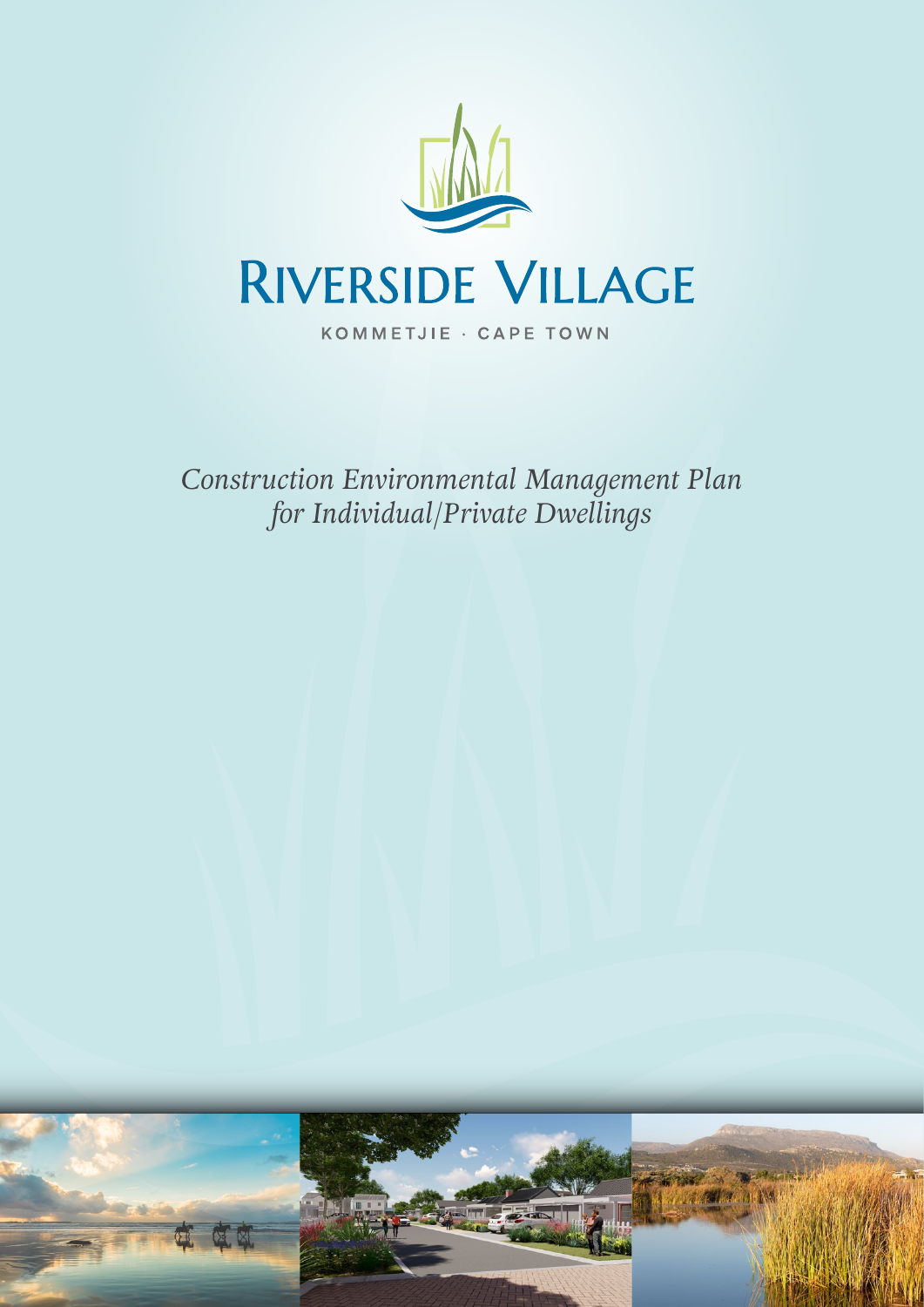

*Construction Environmental Management Plan for Individual/Private Dwellings*

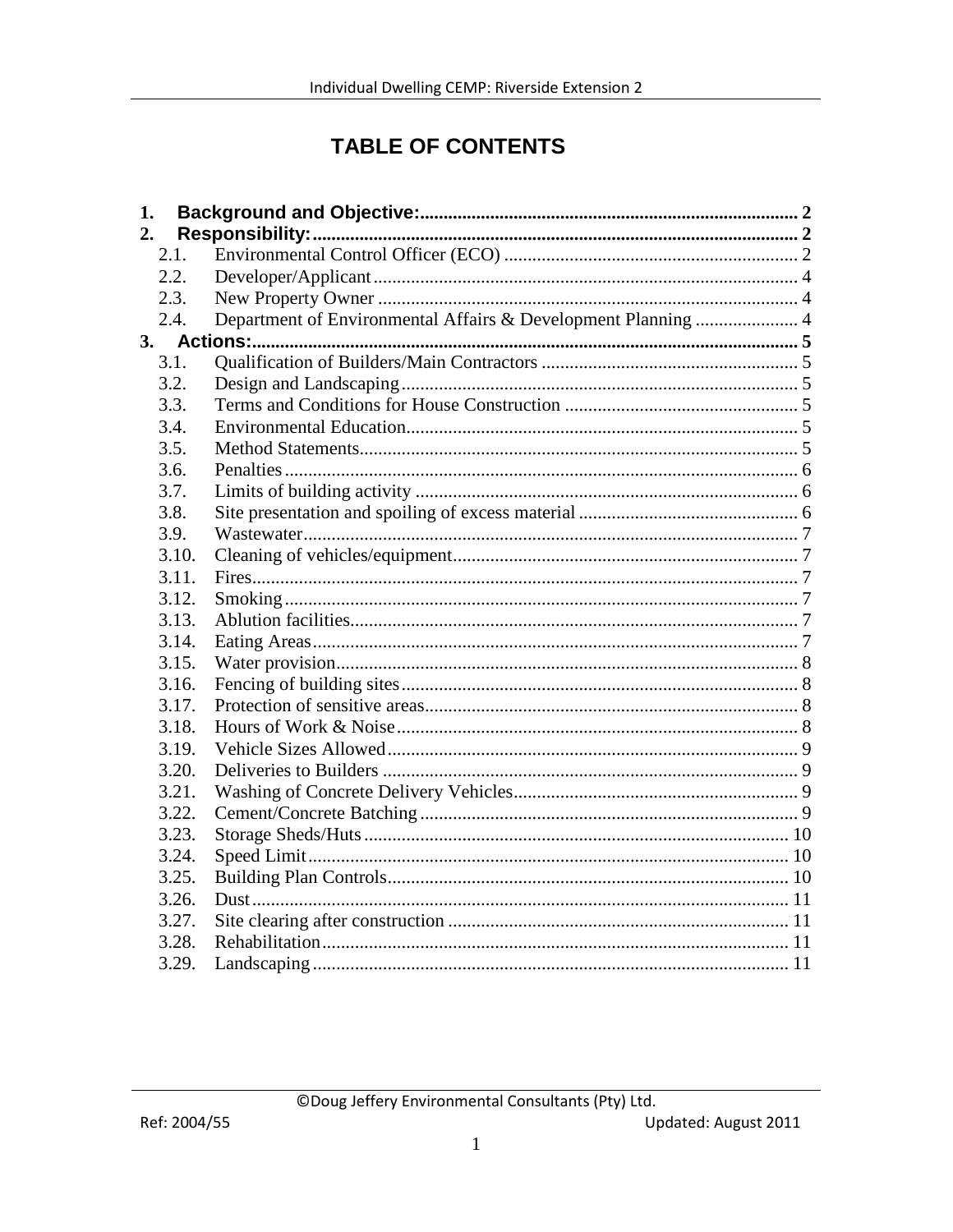# **TABLE OF CONTENTS**

| 1. |       |  |
|----|-------|--|
| 2. |       |  |
|    | 2.1.  |  |
|    | 2.2.  |  |
|    | 2.3.  |  |
|    | 2.4.  |  |
|    |       |  |
|    | 3.1.  |  |
|    | 3.2.  |  |
|    | 3.3.  |  |
|    | 3.4.  |  |
|    | 3.5.  |  |
|    | 3.6.  |  |
|    | 3.7.  |  |
|    | 3.8.  |  |
|    | 3.9.  |  |
|    | 3.10. |  |
|    | 3.11. |  |
|    | 3.12. |  |
|    | 3.13. |  |
|    | 3.14. |  |
|    | 3.15. |  |
|    | 3.16. |  |
|    | 3.17. |  |
|    | 3.18. |  |
|    | 3.19. |  |
|    | 3.20. |  |
|    | 3.21. |  |
|    | 3.22. |  |
|    | 3.23. |  |
|    | 3.24. |  |
|    | 3.25. |  |
|    | 3.26. |  |
|    | 3.27. |  |
|    | 3.28. |  |
|    | 3.29. |  |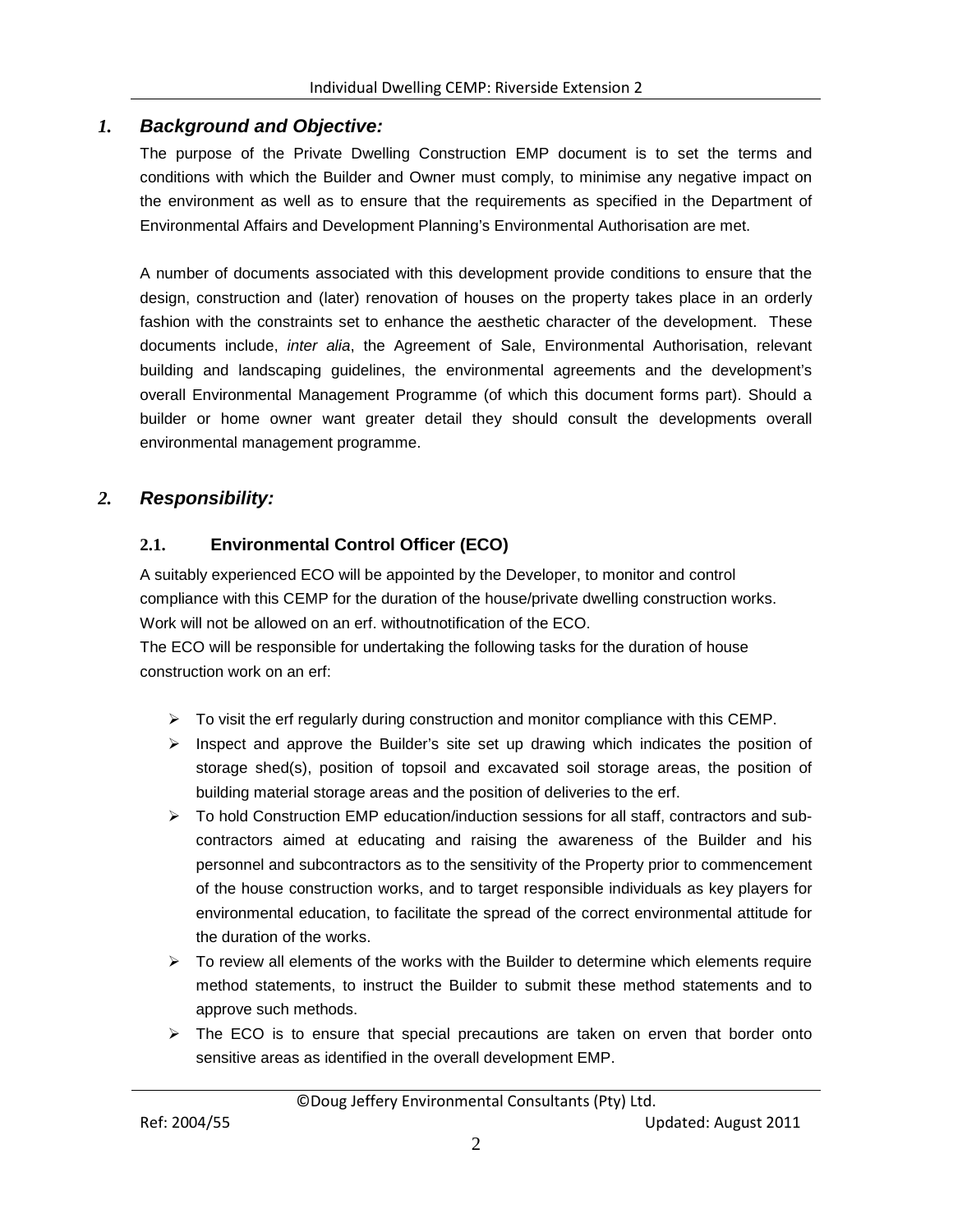# *1. Background and Objective:*

<span id="page-2-0"></span>The purpose of the Private Dwelling Construction EMP document is to set the terms and conditions with which the Builder and Owner must comply, to minimise any negative impact on the environment as well as to ensure that the requirements as specified in the Department of Environmental Affairs and Development Planning's Environmental Authorisation are met.

A number of documents associated with this development provide conditions to ensure that the design, construction and (later) renovation of houses on the property takes place in an orderly fashion with the constraints set to enhance the aesthetic character of the development. These documents include, *inter alia*, the Agreement of Sale, Environmental Authorisation, relevant building and landscaping guidelines, the environmental agreements and the development's overall Environmental Management Programme (of which this document forms part). Should a builder or home owner want greater detail they should consult the developments overall environmental management programme.

# <span id="page-2-1"></span>*2. Responsibility:*

# <span id="page-2-2"></span>**2.1. Environmental Control Officer (ECO)**

A suitably experienced ECO will be appointed by the Developer, to monitor and control compliance with this CEMP for the duration of the house/private dwelling construction works. Work will not be allowed on an erf. withoutnotification of the ECO.

The ECO will be responsible for undertaking the following tasks for the duration of house construction work on an erf:

- $\triangleright$  To visit the erf regularly during construction and monitor compliance with this CEMP.
- $\triangleright$  Inspect and approve the Builder's site set up drawing which indicates the position of storage shed(s), position of topsoil and excavated soil storage areas, the position of building material storage areas and the position of deliveries to the erf.
- > To hold Construction EMP education/induction sessions for all staff, contractors and subcontractors aimed at educating and raising the awareness of the Builder and his personnel and subcontractors as to the sensitivity of the Property prior to commencement of the house construction works, and to target responsible individuals as key players for environmental education, to facilitate the spread of the correct environmental attitude for the duration of the works.
- $\triangleright$  To review all elements of the works with the Builder to determine which elements require method statements, to instruct the Builder to submit these method statements and to approve such methods.
- $\triangleright$  The ECO is to ensure that special precautions are taken on erven that border onto sensitive areas as identified in the overall development EMP.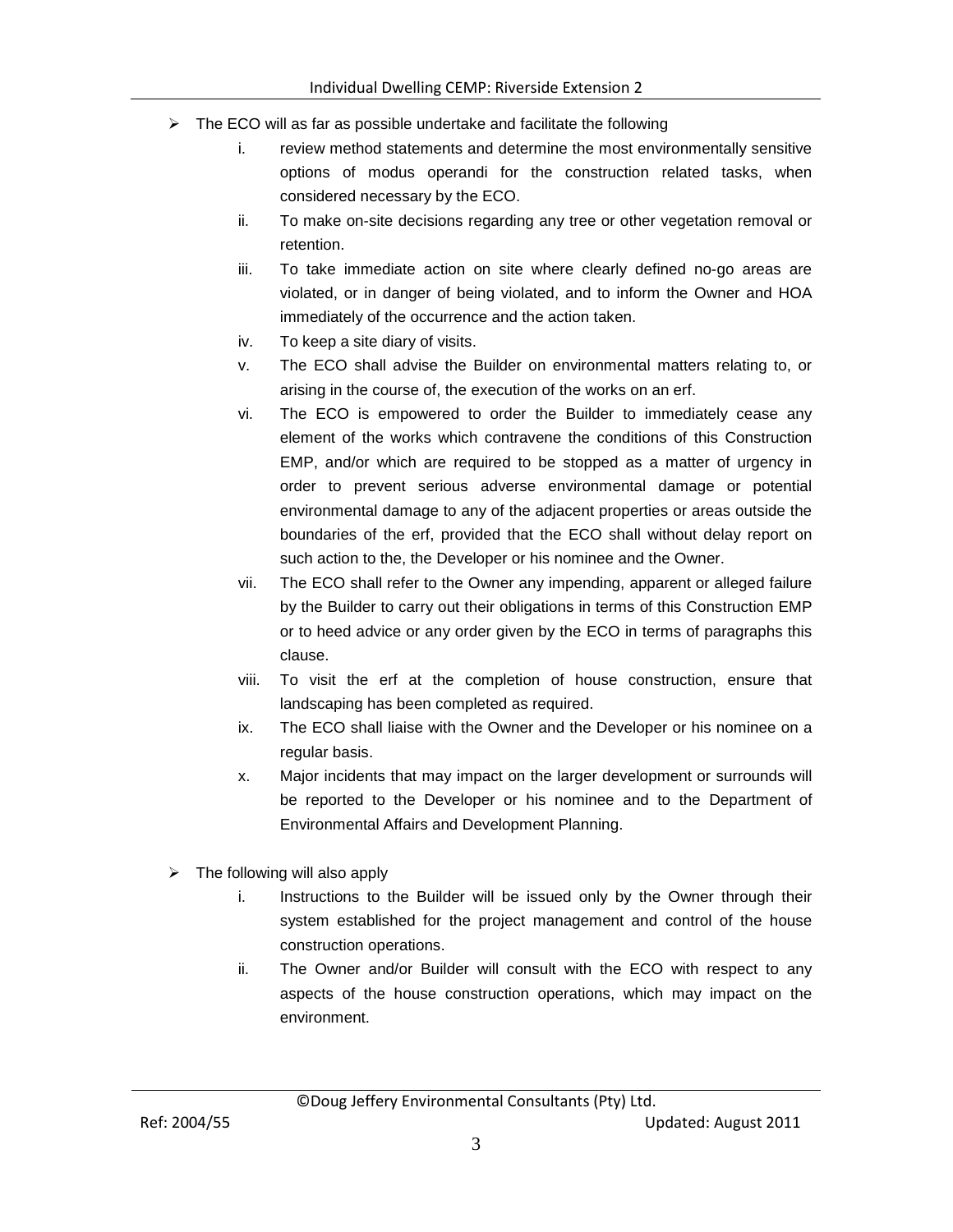- $\triangleright$  The ECO will as far as possible undertake and facilitate the following
	- i. review method statements and determine the most environmentally sensitive options of modus operandi for the construction related tasks, when considered necessary by the ECO.
	- ii. To make on-site decisions regarding any tree or other vegetation removal or retention.
	- iii. To take immediate action on site where clearly defined no-go areas are violated, or in danger of being violated, and to inform the Owner and HOA immediately of the occurrence and the action taken.
	- iv. To keep a site diary of visits.
	- v. The ECO shall advise the Builder on environmental matters relating to, or arising in the course of, the execution of the works on an erf.
	- vi. The ECO is empowered to order the Builder to immediately cease any element of the works which contravene the conditions of this Construction EMP, and/or which are required to be stopped as a matter of urgency in order to prevent serious adverse environmental damage or potential environmental damage to any of the adjacent properties or areas outside the boundaries of the erf, provided that the ECO shall without delay report on such action to the, the Developer or his nominee and the Owner.
	- vii. The ECO shall refer to the Owner any impending, apparent or alleged failure by the Builder to carry out their obligations in terms of this Construction EMP or to heed advice or any order given by the ECO in terms of paragraphs this clause.
	- viii. To visit the erf at the completion of house construction, ensure that landscaping has been completed as required.
	- ix. The ECO shall liaise with the Owner and the Developer or his nominee on a regular basis.
	- x. Major incidents that may impact on the larger development or surrounds will be reported to the Developer or his nominee and to the Department of Environmental Affairs and Development Planning.
- $\triangleright$  The following will also apply
	- i. Instructions to the Builder will be issued only by the Owner through their system established for the project management and control of the house construction operations.
	- ii. The Owner and/or Builder will consult with the ECO with respect to any aspects of the house construction operations, which may impact on the environment.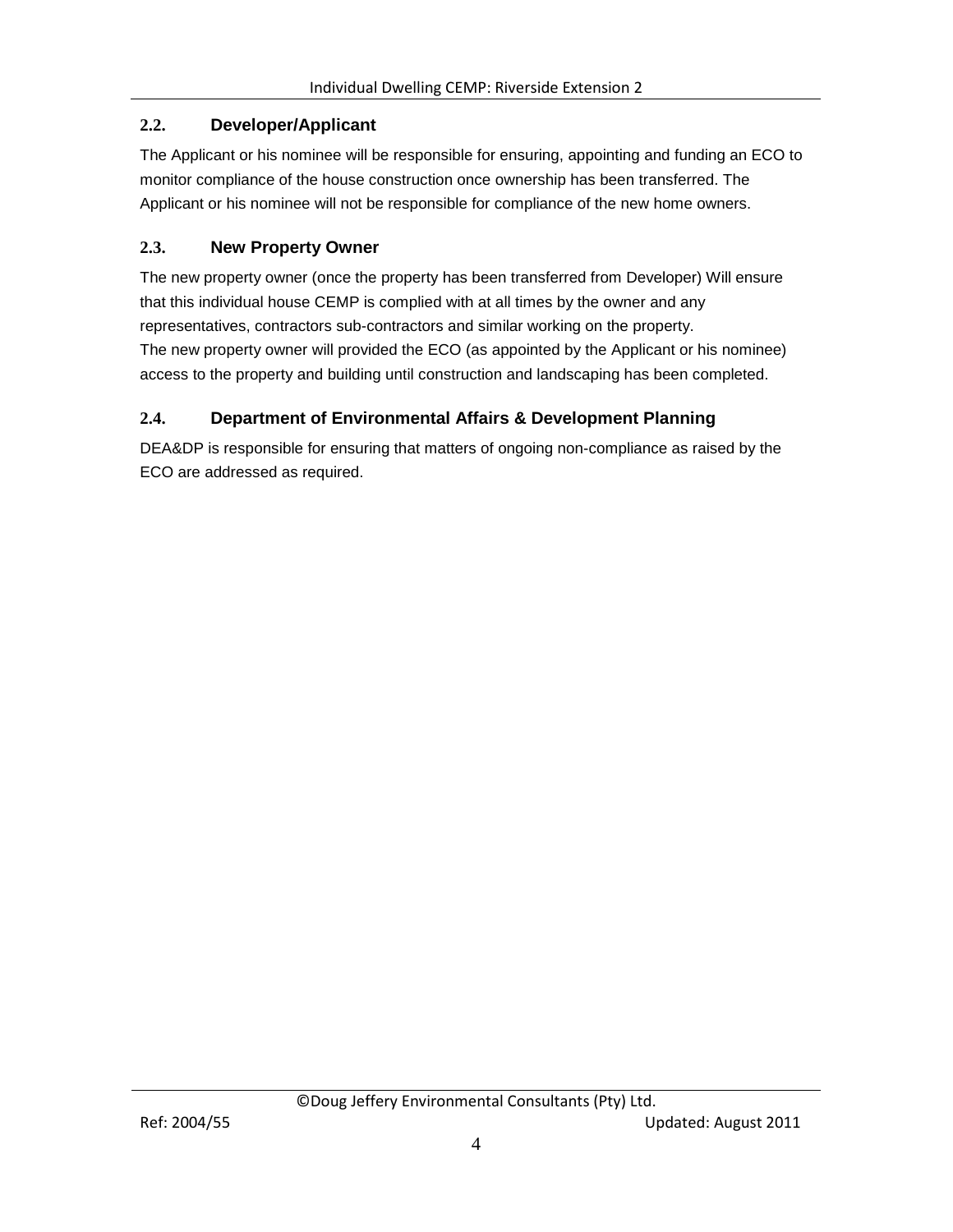# <span id="page-4-0"></span>**2.2. Developer/Applicant**

The Applicant or his nominee will be responsible for ensuring, appointing and funding an ECO to monitor compliance of the house construction once ownership has been transferred. The Applicant or his nominee will not be responsible for compliance of the new home owners.

# <span id="page-4-1"></span>**2.3. New Property Owner**

The new property owner (once the property has been transferred from Developer) Will ensure that this individual house CEMP is complied with at all times by the owner and any representatives, contractors sub-contractors and similar working on the property. The new property owner will provided the ECO (as appointed by the Applicant or his nominee) access to the property and building until construction and landscaping has been completed.

# <span id="page-4-2"></span>**2.4. Department of Environmental Affairs & Development Planning**

DEA&DP is responsible for ensuring that matters of ongoing non-compliance as raised by the ECO are addressed as required.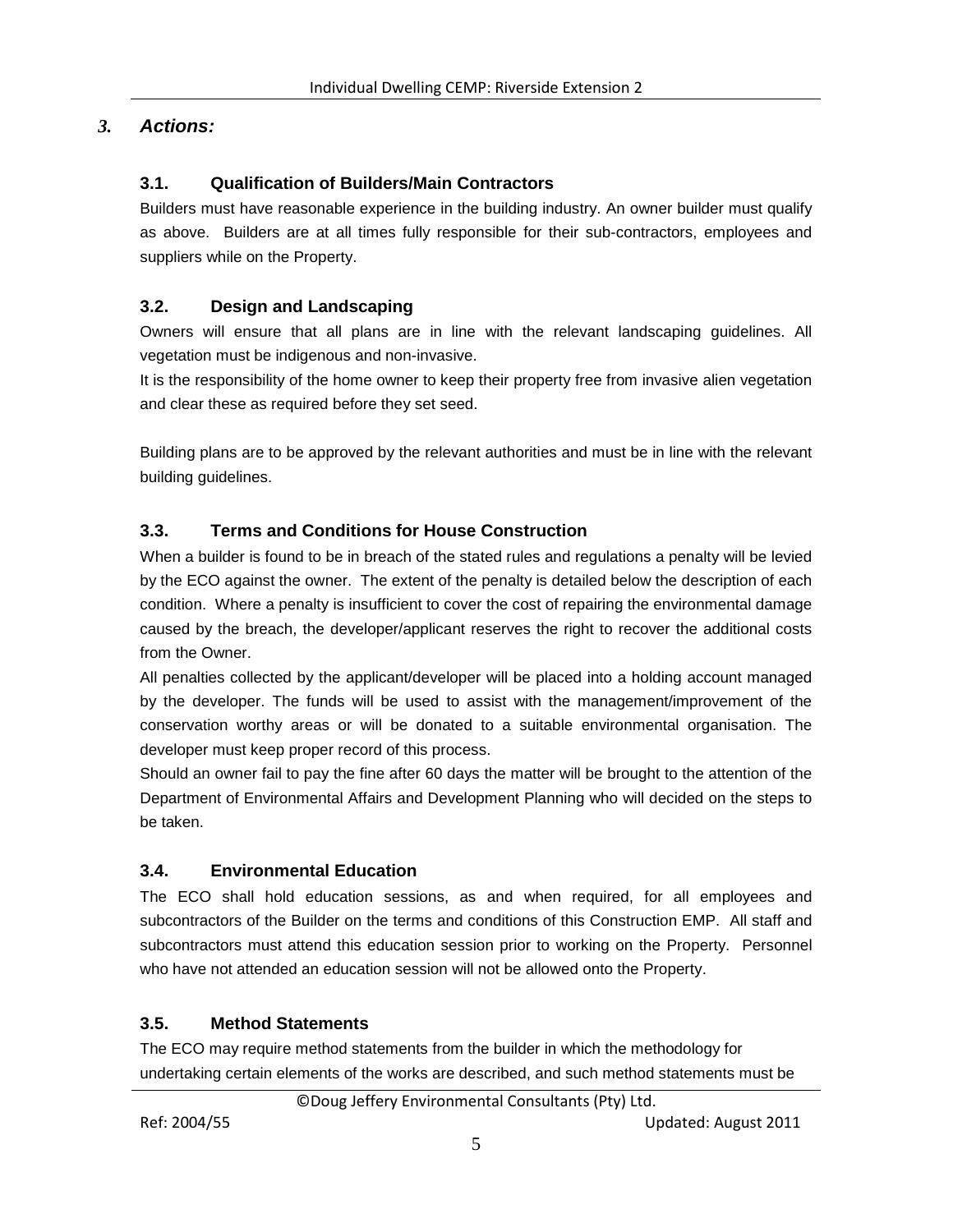# <span id="page-5-0"></span>*3. Actions:*

### <span id="page-5-1"></span>**3.1. Qualification of Builders/Main Contractors**

Builders must have reasonable experience in the building industry. An owner builder must qualify as above. Builders are at all times fully responsible for their sub-contractors, employees and suppliers while on the Property.

# <span id="page-5-2"></span>**3.2. Design and Landscaping**

Owners will ensure that all plans are in line with the relevant landscaping guidelines. All vegetation must be indigenous and non-invasive.

It is the responsibility of the home owner to keep their property free from invasive alien vegetation and clear these as required before they set seed.

Building plans are to be approved by the relevant authorities and must be in line with the relevant building guidelines.

# <span id="page-5-3"></span>**3.3. Terms and Conditions for House Construction**

When a builder is found to be in breach of the stated rules and regulations a penalty will be levied by the ECO against the owner. The extent of the penalty is detailed below the description of each condition. Where a penalty is insufficient to cover the cost of repairing the environmental damage caused by the breach, the developer/applicant reserves the right to recover the additional costs from the Owner.

All penalties collected by the applicant/developer will be placed into a holding account managed by the developer. The funds will be used to assist with the management/improvement of the conservation worthy areas or will be donated to a suitable environmental organisation. The developer must keep proper record of this process.

Should an owner fail to pay the fine after 60 days the matter will be brought to the attention of the Department of Environmental Affairs and Development Planning who will decided on the steps to be taken.

### <span id="page-5-4"></span>**3.4. Environmental Education**

The ECO shall hold education sessions, as and when required, for all employees and subcontractors of the Builder on the terms and conditions of this Construction EMP. All staff and subcontractors must attend this education session prior to working on the Property. Personnel who have not attended an education session will not be allowed onto the Property.

### <span id="page-5-5"></span>**3.5. Method Statements**

The ECO may require method statements from the builder in which the methodology for undertaking certain elements of the works are described, and such method statements must be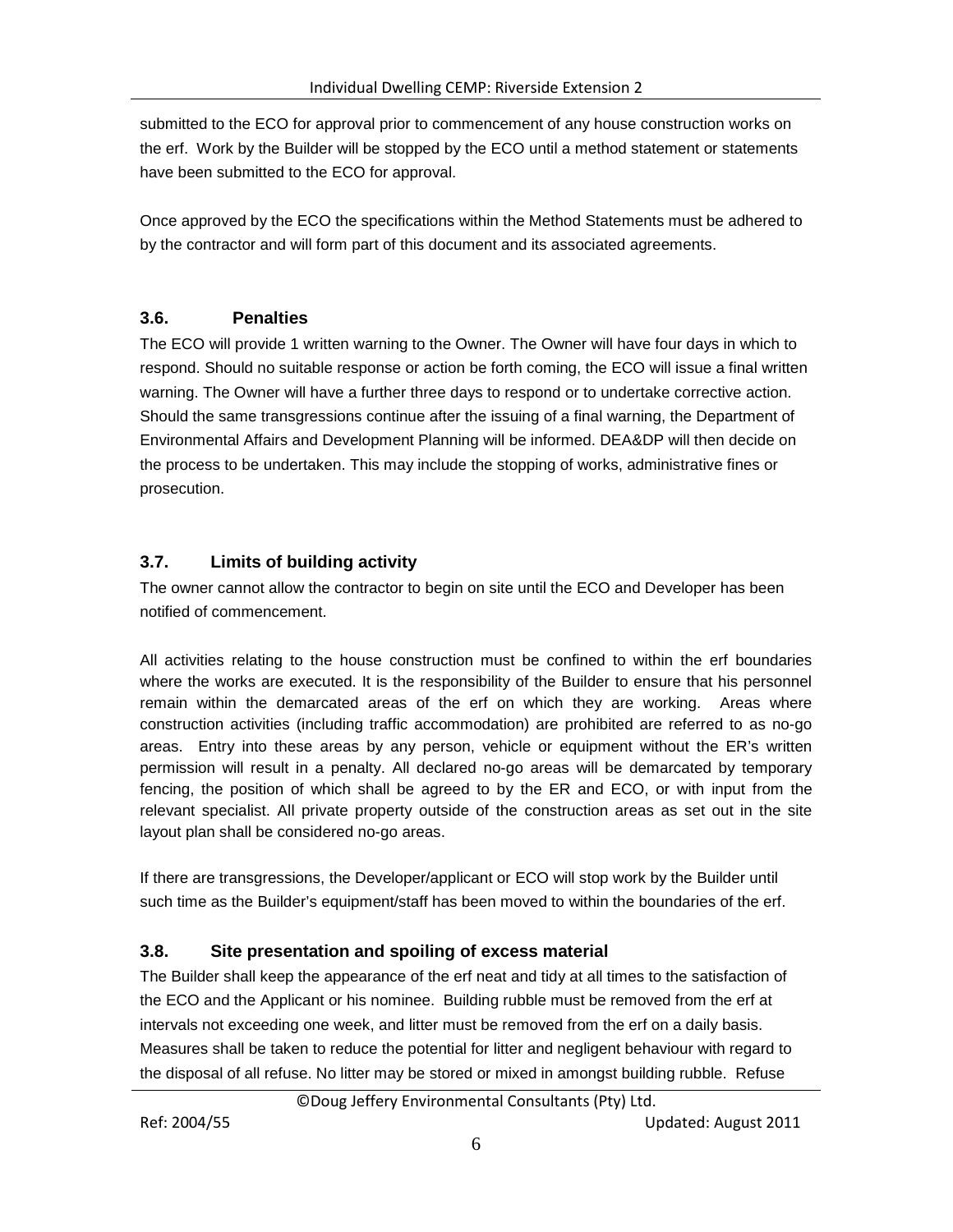submitted to the ECO for approval prior to commencement of any house construction works on the erf. Work by the Builder will be stopped by the ECO until a method statement or statements have been submitted to the ECO for approval.

Once approved by the ECO the specifications within the Method Statements must be adhered to by the contractor and will form part of this document and its associated agreements.

# <span id="page-6-0"></span>**3.6. Penalties**

The ECO will provide 1 written warning to the Owner. The Owner will have four days in which to respond. Should no suitable response or action be forth coming, the ECO will issue a final written warning. The Owner will have a further three days to respond or to undertake corrective action. Should the same transgressions continue after the issuing of a final warning, the Department of Environmental Affairs and Development Planning will be informed. DEA&DP will then decide on the process to be undertaken. This may include the stopping of works, administrative fines or prosecution.

# <span id="page-6-1"></span>**3.7. Limits of building activity**

The owner cannot allow the contractor to begin on site until the ECO and Developer has been notified of commencement.

All activities relating to the house construction must be confined to within the erf boundaries where the works are executed. It is the responsibility of the Builder to ensure that his personnel remain within the demarcated areas of the erf on which they are working. Areas where construction activities (including traffic accommodation) are prohibited are referred to as no-go areas. Entry into these areas by any person, vehicle or equipment without the ER's written permission will result in a penalty. All declared no-go areas will be demarcated by temporary fencing, the position of which shall be agreed to by the ER and ECO, or with input from the relevant specialist. All private property outside of the construction areas as set out in the site layout plan shall be considered no-go areas.

If there are transgressions, the Developer/applicant or ECO will stop work by the Builder until such time as the Builder's equipment/staff has been moved to within the boundaries of the erf.

# <span id="page-6-2"></span>**3.8. Site presentation and spoiling of excess material**

The Builder shall keep the appearance of the erf neat and tidy at all times to the satisfaction of the ECO and the Applicant or his nominee. Building rubble must be removed from the erf at intervals not exceeding one week, and litter must be removed from the erf on a daily basis. Measures shall be taken to reduce the potential for litter and negligent behaviour with regard to the disposal of all refuse. No litter may be stored or mixed in amongst building rubble. Refuse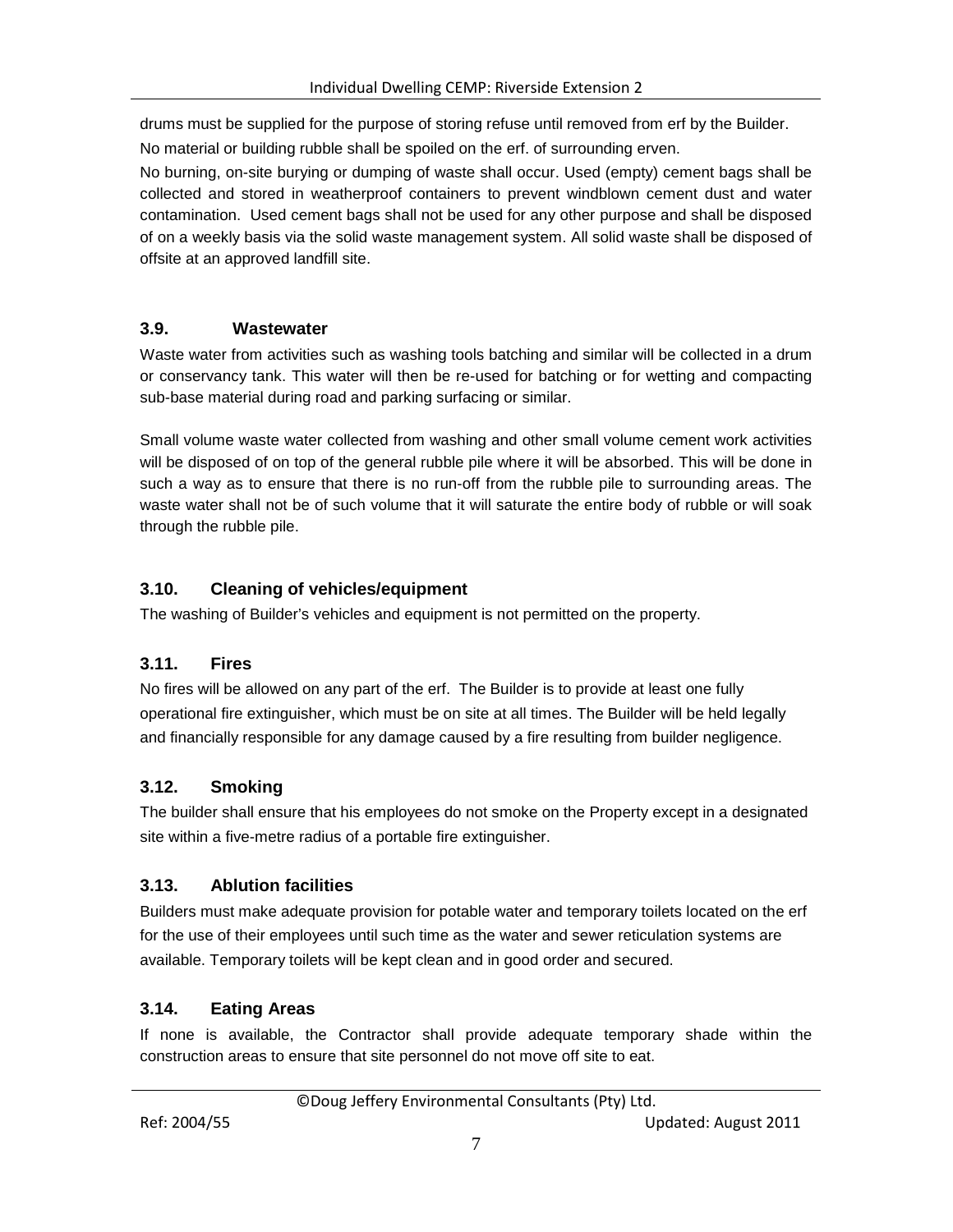drums must be supplied for the purpose of storing refuse until removed from erf by the Builder. No material or building rubble shall be spoiled on the erf. of surrounding erven.

No burning, on-site burying or dumping of waste shall occur. Used (empty) cement bags shall be collected and stored in weatherproof containers to prevent windblown cement dust and water contamination. Used cement bags shall not be used for any other purpose and shall be disposed of on a weekly basis via the solid waste management system. All solid waste shall be disposed of offsite at an approved landfill site.

# <span id="page-7-0"></span>**3.9. Wastewater**

Waste water from activities such as washing tools batching and similar will be collected in a drum or conservancy tank. This water will then be re-used for batching or for wetting and compacting sub-base material during road and parking surfacing or similar.

Small volume waste water collected from washing and other small volume cement work activities will be disposed of on top of the general rubble pile where it will be absorbed. This will be done in such a way as to ensure that there is no run-off from the rubble pile to surrounding areas. The waste water shall not be of such volume that it will saturate the entire body of rubble or will soak through the rubble pile.

# <span id="page-7-1"></span>**3.10. Cleaning of vehicles/equipment**

The washing of Builder's vehicles and equipment is not permitted on the property.

### <span id="page-7-2"></span>**3.11. Fires**

No fires will be allowed on any part of the erf. The Builder is to provide at least one fully operational fire extinguisher, which must be on site at all times. The Builder will be held legally and financially responsible for any damage caused by a fire resulting from builder negligence.

# <span id="page-7-3"></span>**3.12. Smoking**

The builder shall ensure that his employees do not smoke on the Property except in a designated site within a five-metre radius of a portable fire extinguisher.

# <span id="page-7-4"></span>**3.13. Ablution facilities**

Builders must make adequate provision for potable water and temporary toilets located on the erf for the use of their employees until such time as the water and sewer reticulation systems are available. Temporary toilets will be kept clean and in good order and secured.

# <span id="page-7-5"></span>**3.14. Eating Areas**

If none is available, the Contractor shall provide adequate temporary shade within the construction areas to ensure that site personnel do not move off site to eat.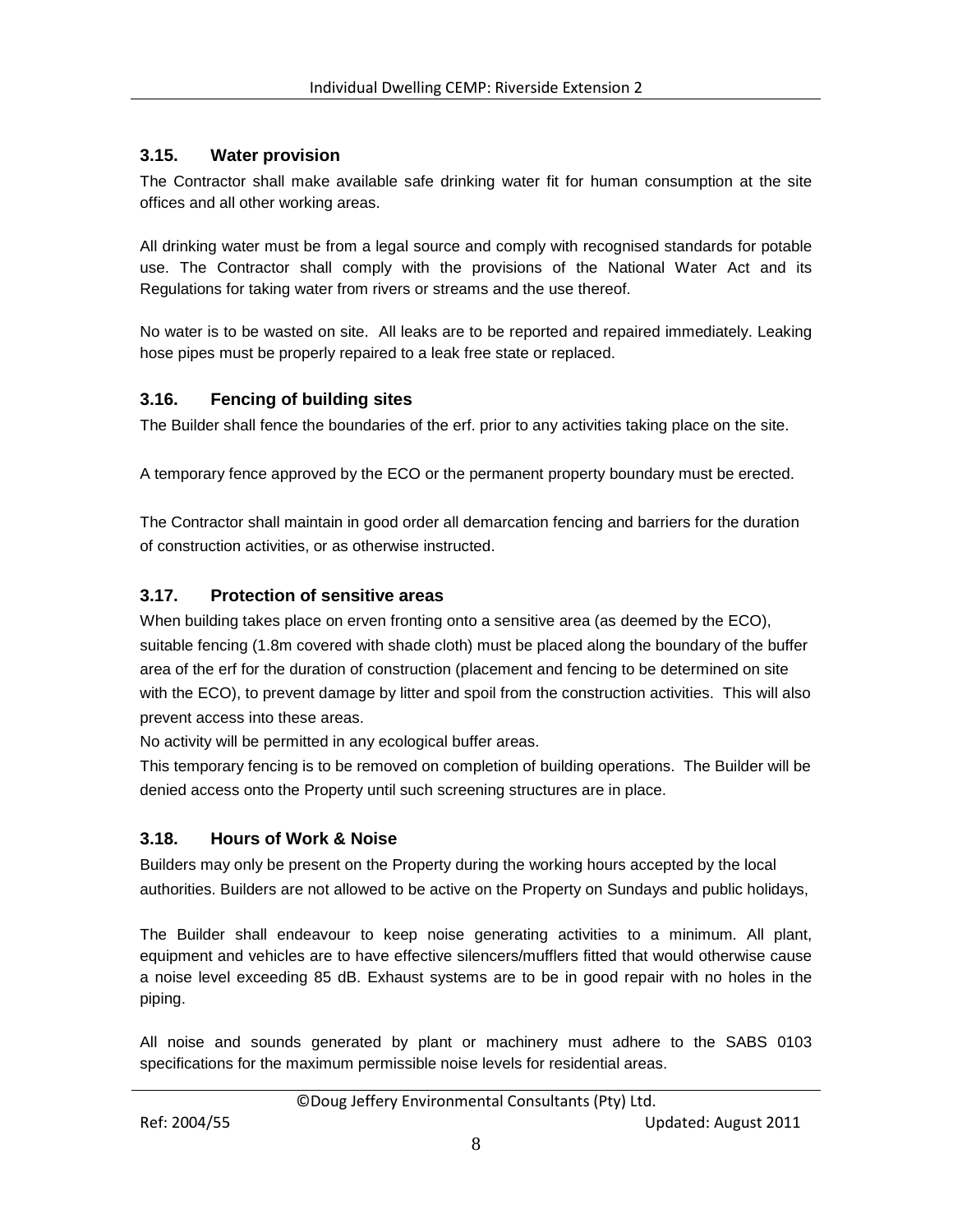### <span id="page-8-0"></span>**3.15. Water provision**

The Contractor shall make available safe drinking water fit for human consumption at the site offices and all other working areas.

All drinking water must be from a legal source and comply with recognised standards for potable use. The Contractor shall comply with the provisions of the National Water Act and its Regulations for taking water from rivers or streams and the use thereof.

No water is to be wasted on site. All leaks are to be reported and repaired immediately. Leaking hose pipes must be properly repaired to a leak free state or replaced.

### <span id="page-8-1"></span>**3.16. Fencing of building sites**

The Builder shall fence the boundaries of the erf. prior to any activities taking place on the site.

A temporary fence approved by the ECO or the permanent property boundary must be erected.

The Contractor shall maintain in good order all demarcation fencing and barriers for the duration of construction activities, or as otherwise instructed.

# <span id="page-8-2"></span>**3.17. Protection of sensitive areas**

When building takes place on erven fronting onto a sensitive area (as deemed by the ECO), suitable fencing (1.8m covered with shade cloth) must be placed along the boundary of the buffer area of the erf for the duration of construction (placement and fencing to be determined on site with the ECO), to prevent damage by litter and spoil from the construction activities. This will also prevent access into these areas.

No activity will be permitted in any ecological buffer areas.

This temporary fencing is to be removed on completion of building operations. The Builder will be denied access onto the Property until such screening structures are in place.

# <span id="page-8-3"></span>**3.18. Hours of Work & Noise**

Builders may only be present on the Property during the working hours accepted by the local authorities. Builders are not allowed to be active on the Property on Sundays and public holidays,

The Builder shall endeavour to keep noise generating activities to a minimum. All plant, equipment and vehicles are to have effective silencers/mufflers fitted that would otherwise cause a noise level exceeding 85 dB. Exhaust systems are to be in good repair with no holes in the piping.

All noise and sounds generated by plant or machinery must adhere to the SABS 0103 specifications for the maximum permissible noise levels for residential areas.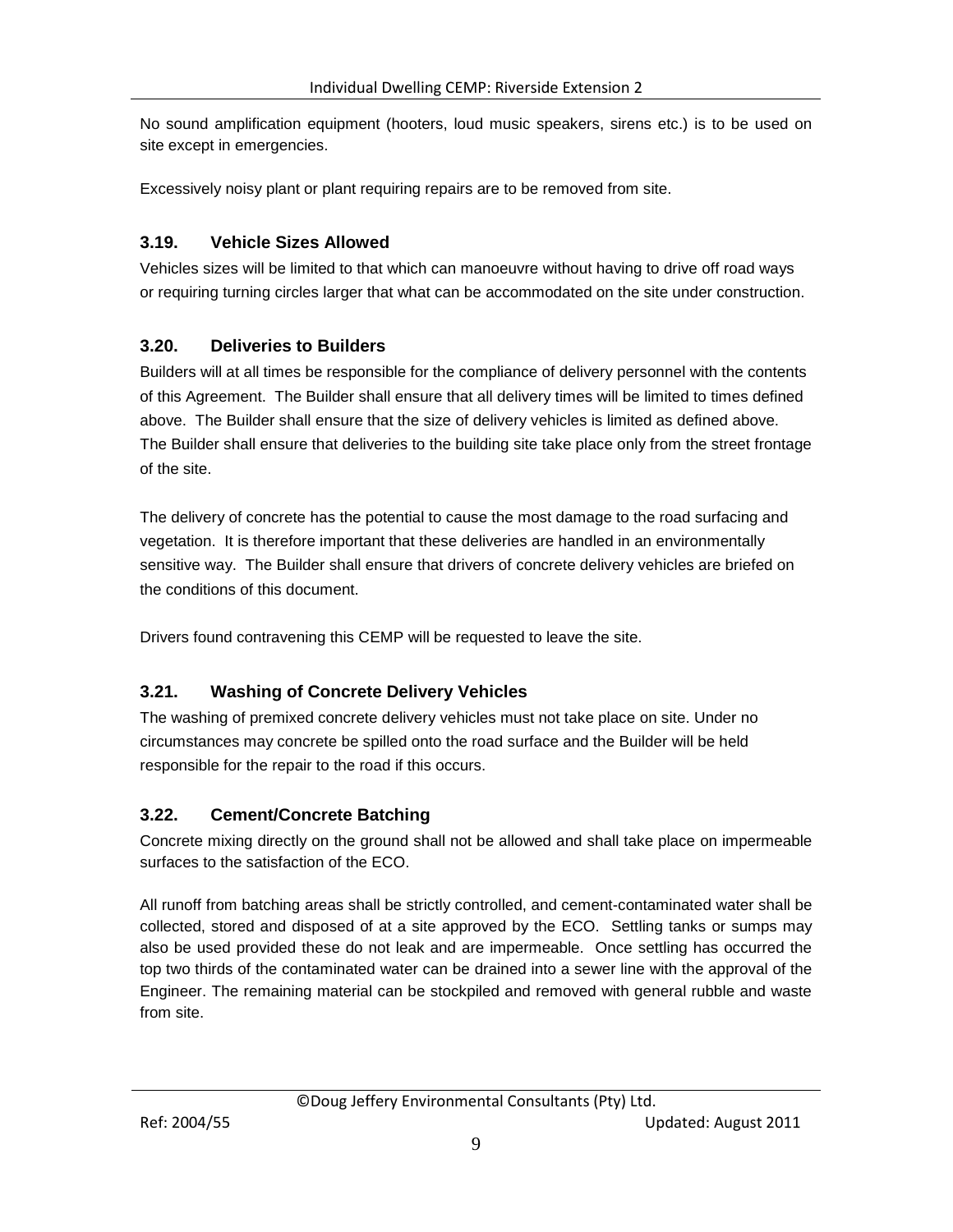No sound amplification equipment (hooters, loud music speakers, sirens etc.) is to be used on site except in emergencies.

Excessively noisy plant or plant requiring repairs are to be removed from site.

### <span id="page-9-0"></span>**3.19. Vehicle Sizes Allowed**

Vehicles sizes will be limited to that which can manoeuvre without having to drive off road ways or requiring turning circles larger that what can be accommodated on the site under construction.

### <span id="page-9-1"></span>**3.20. Deliveries to Builders**

Builders will at all times be responsible for the compliance of delivery personnel with the contents of this Agreement. The Builder shall ensure that all delivery times will be limited to times defined above. The Builder shall ensure that the size of delivery vehicles is limited as defined above. The Builder shall ensure that deliveries to the building site take place only from the street frontage of the site.

The delivery of concrete has the potential to cause the most damage to the road surfacing and vegetation. It is therefore important that these deliveries are handled in an environmentally sensitive way. The Builder shall ensure that drivers of concrete delivery vehicles are briefed on the conditions of this document.

Drivers found contravening this CEMP will be requested to leave the site.

# <span id="page-9-2"></span>**3.21. Washing of Concrete Delivery Vehicles**

The washing of premixed concrete delivery vehicles must not take place on site. Under no circumstances may concrete be spilled onto the road surface and the Builder will be held responsible for the repair to the road if this occurs.

### <span id="page-9-3"></span>**3.22. Cement/Concrete Batching**

Concrete mixing directly on the ground shall not be allowed and shall take place on impermeable surfaces to the satisfaction of the ECO.

All runoff from batching areas shall be strictly controlled, and cement-contaminated water shall be collected, stored and disposed of at a site approved by the ECO. Settling tanks or sumps may also be used provided these do not leak and are impermeable. Once settling has occurred the top two thirds of the contaminated water can be drained into a sewer line with the approval of the Engineer. The remaining material can be stockpiled and removed with general rubble and waste from site.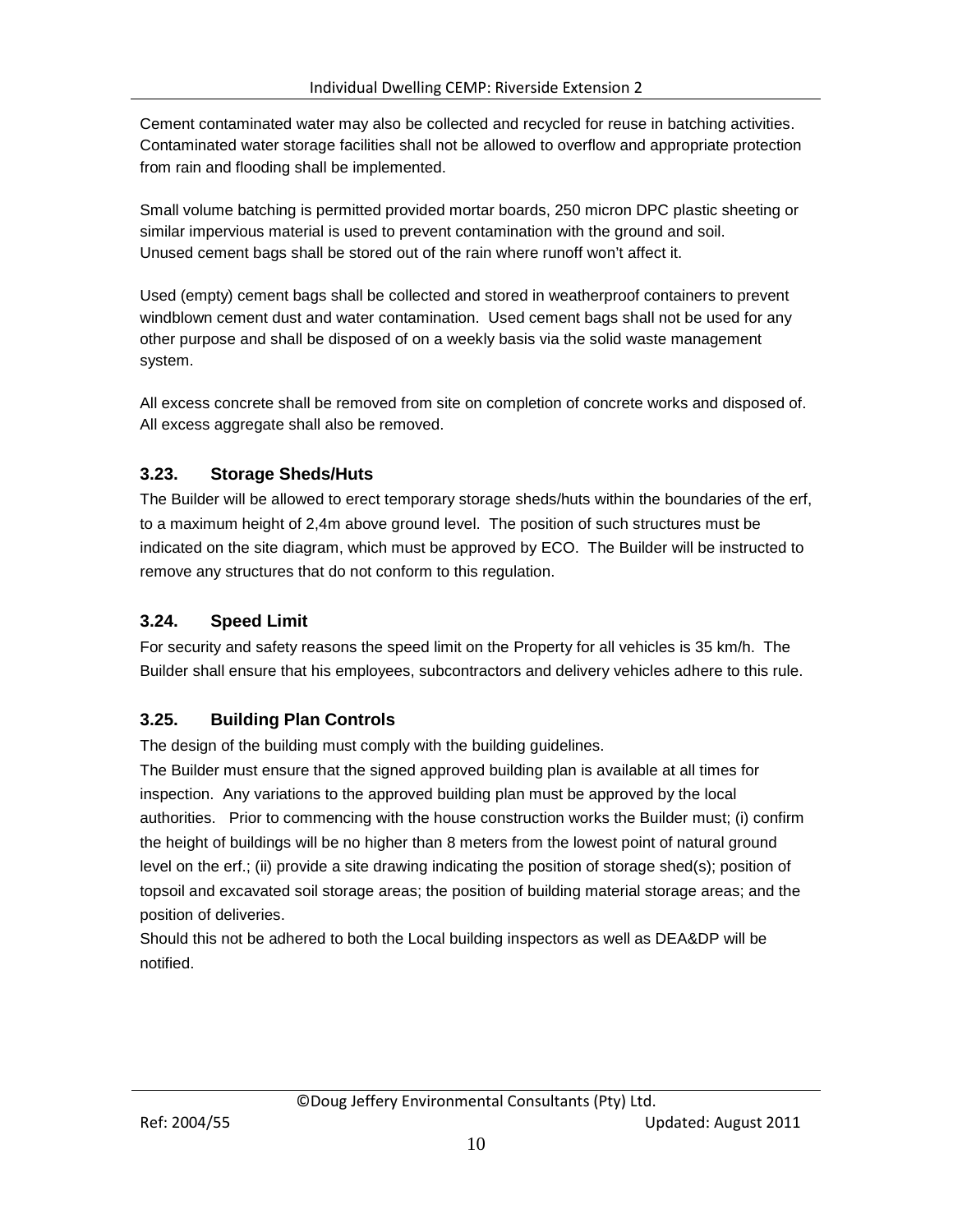Cement contaminated water may also be collected and recycled for reuse in batching activities. Contaminated water storage facilities shall not be allowed to overflow and appropriate protection from rain and flooding shall be implemented.

Small volume batching is permitted provided mortar boards, 250 micron DPC plastic sheeting or similar impervious material is used to prevent contamination with the ground and soil. Unused cement bags shall be stored out of the rain where runoff won't affect it.

Used (empty) cement bags shall be collected and stored in weatherproof containers to prevent windblown cement dust and water contamination. Used cement bags shall not be used for any other purpose and shall be disposed of on a weekly basis via the solid waste management system.

All excess concrete shall be removed from site on completion of concrete works and disposed of. All excess aggregate shall also be removed.

# <span id="page-10-0"></span>**3.23. Storage Sheds/Huts**

The Builder will be allowed to erect temporary storage sheds/huts within the boundaries of the erf, to a maximum height of 2,4m above ground level. The position of such structures must be indicated on the site diagram, which must be approved by ECO. The Builder will be instructed to remove any structures that do not conform to this regulation.

# <span id="page-10-1"></span>**3.24. Speed Limit**

For security and safety reasons the speed limit on the Property for all vehicles is 35 km/h. The Builder shall ensure that his employees, subcontractors and delivery vehicles adhere to this rule.

# <span id="page-10-2"></span>**3.25. Building Plan Controls**

The design of the building must comply with the building guidelines.

The Builder must ensure that the signed approved building plan is available at all times for inspection. Any variations to the approved building plan must be approved by the local authorities. Prior to commencing with the house construction works the Builder must; (i) confirm the height of buildings will be no higher than 8 meters from the lowest point of natural ground level on the erf.; (ii) provide a site drawing indicating the position of storage shed(s); position of topsoil and excavated soil storage areas; the position of building material storage areas; and the position of deliveries.

Should this not be adhered to both the Local building inspectors as well as DEA&DP will be notified.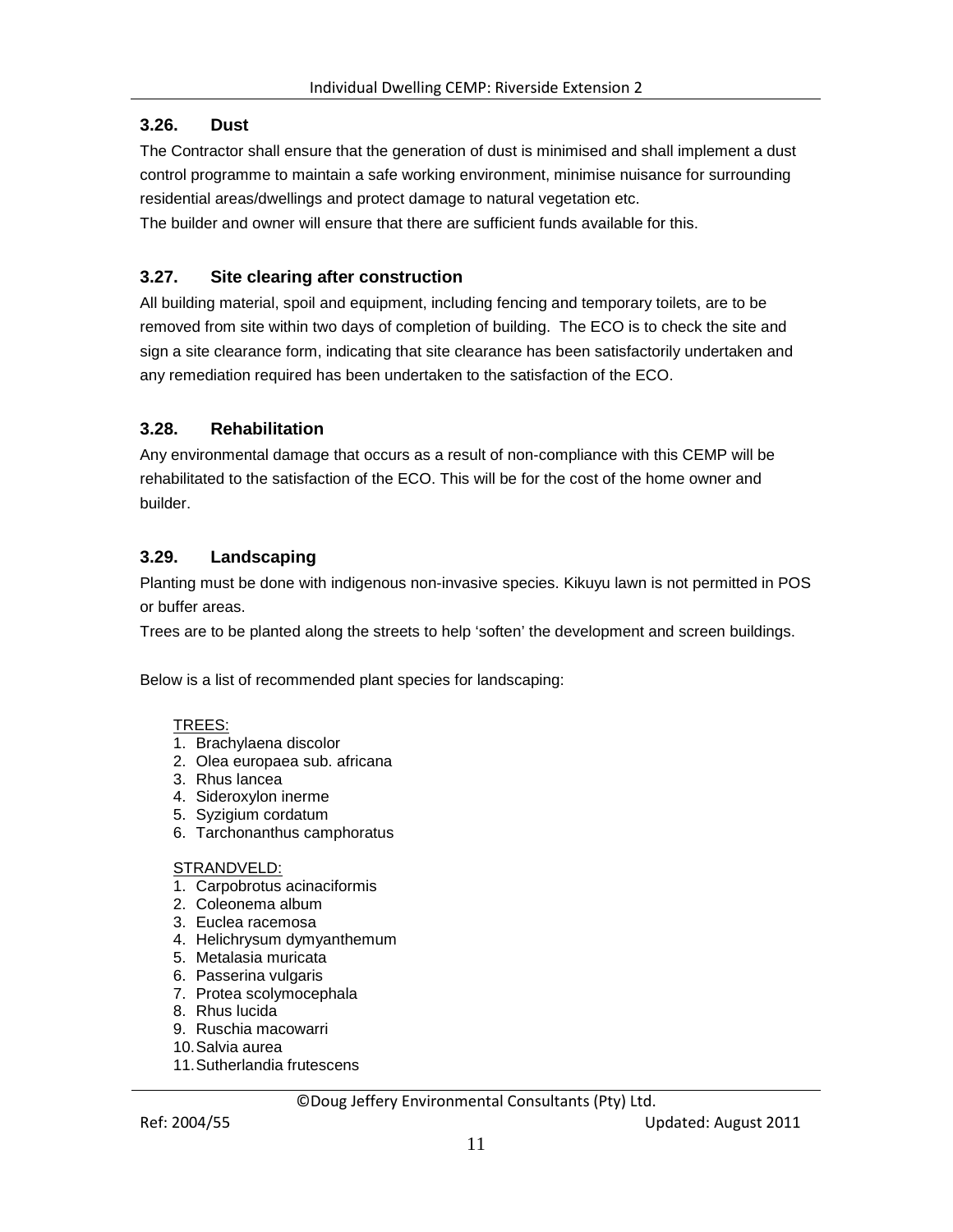# <span id="page-11-0"></span>**3.26. Dust**

The Contractor shall ensure that the generation of dust is minimised and shall implement a dust control programme to maintain a safe working environment, minimise nuisance for surrounding residential areas/dwellings and protect damage to natural vegetation etc.

The builder and owner will ensure that there are sufficient funds available for this.

# <span id="page-11-1"></span>**3.27. Site clearing after construction**

All building material, spoil and equipment, including fencing and temporary toilets, are to be removed from site within two days of completion of building. The ECO is to check the site and sign a site clearance form, indicating that site clearance has been satisfactorily undertaken and any remediation required has been undertaken to the satisfaction of the ECO.

### <span id="page-11-2"></span>**3.28. Rehabilitation**

Any environmental damage that occurs as a result of non-compliance with this CEMP will be rehabilitated to the satisfaction of the ECO. This will be for the cost of the home owner and builder.

# <span id="page-11-3"></span>**3.29. Landscaping**

Planting must be done with indigenous non-invasive species. Kikuyu lawn is not permitted in POS or buffer areas.

Trees are to be planted along the streets to help 'soften' the development and screen buildings.

Below is a list of recommended plant species for landscaping:

#### TREES:

- 1. Brachylaena discolor
- 2. Olea europaea sub. africana
- 3. Rhus lancea
- 4. Sideroxylon inerme
- 5. Syzigium cordatum
- 6. Tarchonanthus camphoratus

#### STRANDVELD:

- 1. Carpobrotus acinaciformis
- 2. Coleonema album
- 3. Euclea racemosa
- 4. Helichrysum dymyanthemum
- 5. Metalasia muricata
- 6. Passerina vulgaris
- 7. Protea scolymocephala
- 8. Rhus lucida
- 9. Ruschia macowarri
- 10.Salvia aurea
- 11.Sutherlandia frutescens